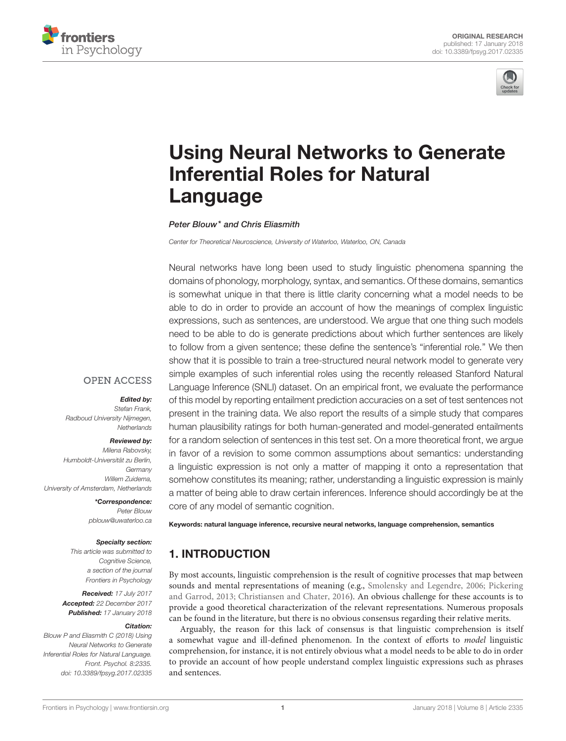



# [Using Neural Networks to Generate](https://www.frontiersin.org/articles/10.3389/fpsyg.2017.02335/full) Inferential Roles for Natural Language

[Peter Blouw\\*](http://loop.frontiersin.org/people/399291/overview) and [Chris Eliasmith](http://loop.frontiersin.org/people/2498/overview)

Center for Theoretical Neuroscience, University of Waterloo, Waterloo, ON, Canada

Neural networks have long been used to study linguistic phenomena spanning the domains of phonology, morphology, syntax, and semantics. Of these domains, semantics is somewhat unique in that there is little clarity concerning what a model needs to be able to do in order to provide an account of how the meanings of complex linguistic expressions, such as sentences, are understood. We argue that one thing such models need to be able to do is generate predictions about which further sentences are likely to follow from a given sentence; these define the sentence's "inferential role." We then show that it is possible to train a tree-structured neural network model to generate very simple examples of such inferential roles using the recently released Stanford Natural Language Inference (SNLI) dataset. On an empirical front, we evaluate the performance of this model by reporting entailment prediction accuracies on a set of test sentences not present in the training data. We also report the results of a simple study that compares human plausibility ratings for both human-generated and model-generated entailments for a random selection of sentences in this test set. On a more theoretical front, we argue in favor of a revision to some common assumptions about semantics: understanding a linguistic expression is not only a matter of mapping it onto a representation that somehow constitutes its meaning; rather, understanding a linguistic expression is mainly a matter of being able to draw certain inferences. Inference should accordingly be at the core of any model of semantic cognition.

# **OPEN ACCESS**

#### Edited by: Stefan Frank,

Radboud University Nijmegen, **Netherlands** 

#### Reviewed by:

Milena Rabovsky, Humboldt-Universität zu Berlin, **Germany** Willem Zuidema, University of Amsterdam, Netherlands

> \*Correspondence: Peter Blouw [pblouw@uwaterloo.ca](mailto:pblouw@uwaterloo.ca)

#### Specialty section:

This article was submitted to Cognitive Science, a section of the journal Frontiers in Psychology

Received: 17 July 2017 Accepted: 22 December 2017 Published: 17 January 2018

#### Citation:

Blouw P and Eliasmith C (2018) Using Neural Networks to Generate Inferential Roles for Natural Language. Front. Psychol. 8:2335. doi: [10.3389/fpsyg.2017.02335](https://doi.org/10.3389/fpsyg.2017.02335)

Keywords: natural language inference, recursive neural networks, language comprehension, semantics

# 1. INTRODUCTION

By most accounts, linguistic comprehension is the result of cognitive processes that map between sounds and mental representations of meaning (e.g., [Smolensky and Legendre, 2006;](#page-13-0) Pickering and Garrod, [2013;](#page-13-1) [Christiansen and Chater, 2016\)](#page-12-0). An obvious challenge for these accounts is to provide a good theoretical characterization of the relevant representations. Numerous proposals can be found in the literature, but there is no obvious consensus regarding their relative merits.

Arguably, the reason for this lack of consensus is that linguistic comprehension is itself a somewhat vague and ill-defined phenomenon. In the context of efforts to model linguistic comprehension, for instance, it is not entirely obvious what a model needs to be able to do in order to provide an account of how people understand complex linguistic expressions such as phrases and sentences.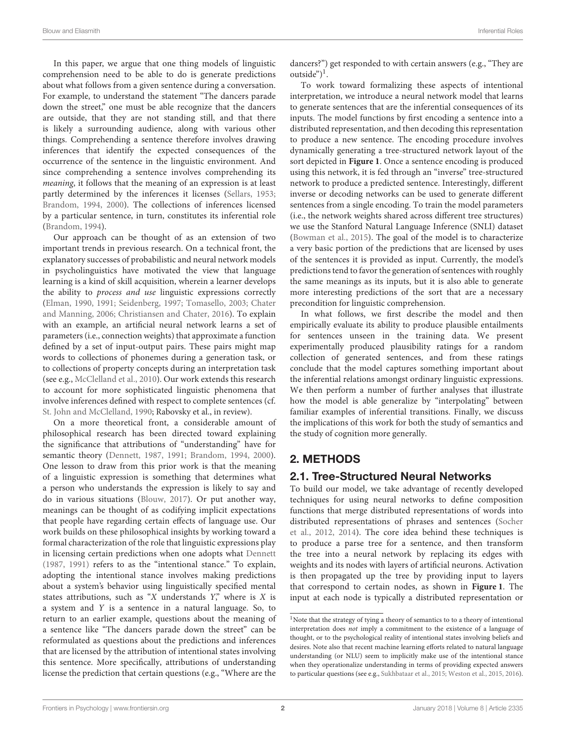In this paper, we argue that one thing models of linguistic comprehension need to be able to do is generate predictions about what follows from a given sentence during a conversation. For example, to understand the statement "The dancers parade down the street," one must be able recognize that the dancers are outside, that they are not standing still, and that there is likely a surrounding audience, along with various other things. Comprehending a sentence therefore involves drawing inferences that identify the expected consequences of the occurrence of the sentence in the linguistic environment. And since comprehending a sentence involves comprehending its meaning, it follows that the meaning of an expression is at least partly determined by the inferences it licenses [\(Sellars, 1953;](#page-13-2) [Brandom, 1994,](#page-12-1) [2000\)](#page-12-2). The collections of inferences licensed by a particular sentence, in turn, constitutes its inferential role [\(Brandom, 1994\)](#page-12-1).

Our approach can be thought of as an extension of two important trends in previous research. On a technical front, the explanatory successes of probabilistic and neural network models in psycholinguistics have motivated the view that language learning is a kind of skill acquisition, wherein a learner develops the ability to process and use linguistic expressions correctly [\(Elman, 1990,](#page-12-3) [1991;](#page-12-4) [Seidenberg, 1997;](#page-13-3) [Tomasello, 2003;](#page-13-4) Chater and Manning, [2006;](#page-12-5) [Christiansen and Chater, 2016\)](#page-12-0). To explain with an example, an artificial neural network learns a set of parameters (i.e., connection weights) that approximate a function defined by a set of input-output pairs. These pairs might map words to collections of phonemes during a generation task, or to collections of property concepts during an interpretation task (see e.g., [McClelland et al., 2010\)](#page-13-5). Our work extends this research to account for more sophisticated linguistic phenomena that involve inferences defined with respect to complete sentences (cf. [St. John and McClelland, 1990;](#page-13-6) Rabovsky et al., in review).

On a more theoretical front, a considerable amount of philosophical research has been directed toward explaining the significance that attributions of "understanding" have for semantic theory [\(Dennett, 1987,](#page-12-6) [1991;](#page-12-7) [Brandom, 1994,](#page-12-1) [2000\)](#page-12-2). One lesson to draw from this prior work is that the meaning of a linguistic expression is something that determines what a person who understands the expression is likely to say and do in various situations [\(Blouw, 2017\)](#page-12-8). Or put another way, meanings can be thought of as codifying implicit expectations that people have regarding certain effects of language use. Our work builds on these philosophical insights by working toward a formal characterization of the role that linguistic expressions play in licensing certain predictions when one adopts what [Dennett](#page-12-6) [\(1987,](#page-12-6) [1991\)](#page-12-7) refers to as the "intentional stance." To explain, adopting the intentional stance involves making predictions about a system's behavior using linguistically specified mental states attributions, such as "X understands  $Y$ ," where is  $X$  is a system and Y is a sentence in a natural language. So, to return to an earlier example, questions about the meaning of a sentence like "The dancers parade down the street" can be reformulated as questions about the predictions and inferences that are licensed by the attribution of intentional states involving this sentence. More specifically, attributions of understanding license the prediction that certain questions (e.g., "Where are the dancers?") get responded to with certain answers (e.g., "They are outside")<sup>[1](#page-1-0)</sup>.

To work toward formalizing these aspects of intentional interpretation, we introduce a neural network model that learns to generate sentences that are the inferential consequences of its inputs. The model functions by first encoding a sentence into a distributed representation, and then decoding this representation to produce a new sentence. The encoding procedure involves dynamically generating a tree-structured network layout of the sort depicted in **[Figure 1](#page-2-0)**. Once a sentence encoding is produced using this network, it is fed through an "inverse" tree-structured network to produce a predicted sentence. Interestingly, different inverse or decoding networks can be used to generate different sentences from a single encoding. To train the model parameters (i.e., the network weights shared across different tree structures) we use the Stanford Natural Language Inference (SNLI) dataset [\(Bowman et al., 2015\)](#page-12-9). The goal of the model is to characterize a very basic portion of the predictions that are licensed by uses of the sentences it is provided as input. Currently, the model's predictions tend to favor the generation of sentences with roughly the same meanings as its inputs, but it is also able to generate more interesting predictions of the sort that are a necessary precondition for linguistic comprehension.

In what follows, we first describe the model and then empirically evaluate its ability to produce plausible entailments for sentences unseen in the training data. We present experimentally produced plausibility ratings for a random collection of generated sentences, and from these ratings conclude that the model captures something important about the inferential relations amongst ordinary linguistic expressions. We then perform a number of further analyses that illustrate how the model is able generalize by "interpolating" between familiar examples of inferential transitions. Finally, we discuss the implications of this work for both the study of semantics and the study of cognition more generally.

# 2. METHODS

# 2.1. Tree-Structured Neural Networks

To build our model, we take advantage of recently developed techniques for using neural networks to define composition functions that merge distributed representations of words into distributed representations of phrases and sentences (Socher et al., [2012,](#page-13-7) [2014\)](#page-13-8). The core idea behind these techniques is to produce a parse tree for a sentence, and then transform the tree into a neural network by replacing its edges with weights and its nodes with layers of artificial neurons. Activation is then propagated up the tree by providing input to layers that correspond to certain nodes, as shown in **[Figure 1](#page-2-0)**. The input at each node is typically a distributed representation or

<span id="page-1-0"></span><sup>&</sup>lt;sup>1</sup>Note that the strategy of tying a theory of semantics to to a theory of intentional interpretation does not imply a commitment to the existence of a language of thought, or to the psychological reality of intentional states involving beliefs and desires. Note also that recent machine learning efforts related to natural language understanding (or NLU) seem to implicitly make use of the intentional stance when they operationalize understanding in terms of providing expected answers to particular questions (see e.g., [Sukhbataar et al., 2015;](#page-13-9) [Weston et al., 2015,](#page-13-10) [2016\)](#page-13-11).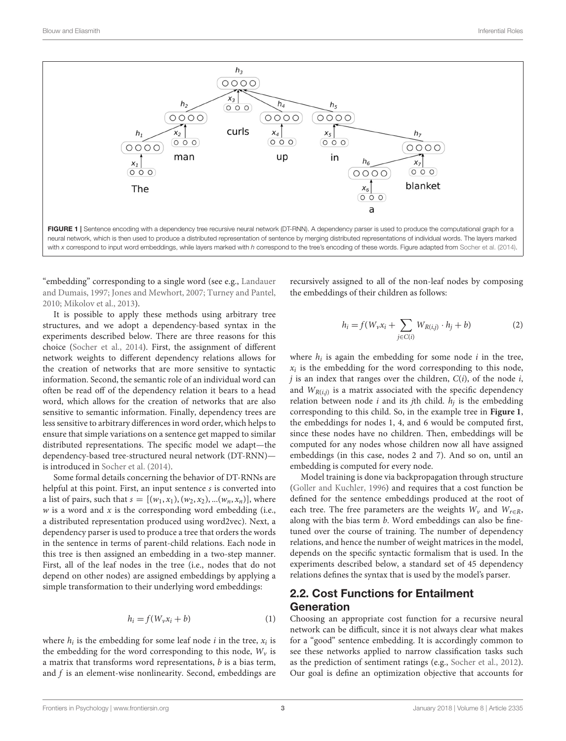

<span id="page-2-0"></span>FIGURE 1 | Sentence encoding with a dependency tree recursive neural network (DT-RNN). A dependency parser is used to produce the computational graph for a neural network, which is then used to produce a distributed representation of sentence by merging distributed representations of individual words. The layers marked with x correspond to input word embeddings, while layers marked with h correspond to the tree's encoding of these words. Figure adapted from [Socher et al. \(2014\)](#page-13-8).

"embedding" corresponding to a single word (see e.g., Landauer and Dumais, [1997;](#page-13-12) [Jones and Mewhort, 2007;](#page-13-13) [Turney and Pantel,](#page-13-14) [2010;](#page-13-14) [Mikolov et al., 2013\)](#page-13-15).

It is possible to apply these methods using arbitrary tree structures, and we adopt a dependency-based syntax in the experiments described below. There are three reasons for this choice [\(Socher et al., 2014\)](#page-13-8). First, the assignment of different network weights to different dependency relations allows for the creation of networks that are more sensitive to syntactic information. Second, the semantic role of an individual word can often be read off of the dependency relation it bears to a head word, which allows for the creation of networks that are also sensitive to semantic information. Finally, dependency trees are less sensitive to arbitrary differences in word order, which helps to ensure that simple variations on a sentence get mapped to similar distributed representations. The specific model we adapt—the dependency-based tree-structured neural network (DT-RNN) is introduced in [Socher et al. \(2014\)](#page-13-8).

Some formal details concerning the behavior of DT-RNNs are helpful at this point. First, an input sentence s is converted into a list of pairs, such that  $s = [(w_1, x_1), (w_2, x_2), ... (w_n, x_n)]$ , where  $w$  is a word and  $x$  is the corresponding word embedding (i.e., a distributed representation produced using word2vec). Next, a dependency parser is used to produce a tree that orders the words in the sentence in terms of parent-child relations. Each node in this tree is then assigned an embedding in a two-step manner. First, all of the leaf nodes in the tree (i.e., nodes that do not depend on other nodes) are assigned embeddings by applying a simple transformation to their underlying word embeddings:

$$
h_i = f(W_v x_i + b)
$$
 (1)

where  $h_i$  is the embedding for some leaf node  $i$  in the tree,  $x_i$  is the embedding for the word corresponding to this node,  $W_{\nu}$  is a matrix that transforms word representations,  $b$  is a bias term, and  $f$  is an element-wise nonlinearity. Second, embeddings are recursively assigned to all of the non-leaf nodes by composing the embeddings of their children as follows:

$$
h_i = f(W_v x_i + \sum_{j \in C(i)} W_{R(i,j)} \cdot h_j + b)
$$
 (2)

where  $h_i$  is again the embedding for some node  $i$  in the tree,  $x_i$  is the embedding for the word corresponding to this node,  $j$  is an index that ranges over the children,  $C(i)$ , of the node  $i$ , and  $W_{R(i,j)}$  is a matrix associated with the specific dependency relation between node *i* and its *j*th child.  $h_j$  is the embedding corresponding to this child. So, in the example tree in **[Figure 1](#page-2-0)**, the embeddings for nodes 1, 4, and 6 would be computed first, since these nodes have no children. Then, embeddings will be computed for any nodes whose children now all have assigned embeddings (in this case, nodes 2 and 7). And so on, until an embedding is computed for every node.

Model training is done via backpropagation through structure [\(Goller and Kuchler, 1996\)](#page-13-16) and requires that a cost function be defined for the sentence embeddings produced at the root of each tree. The free parameters are the weights  $W_v$  and  $W_{r \in R}$ , along with the bias term *b*. Word embeddings can also be finetuned over the course of training. The number of dependency relations, and hence the number of weight matrices in the model, depends on the specific syntactic formalism that is used. In the experiments described below, a standard set of 45 dependency relations defines the syntax that is used by the model's parser.

## 2.2. Cost Functions for Entailment Generation

Choosing an appropriate cost function for a recursive neural network can be difficult, since it is not always clear what makes for a "good" sentence embedding. It is accordingly common to see these networks applied to narrow classification tasks such as the prediction of sentiment ratings (e.g., [Socher et al., 2012\)](#page-13-7). Our goal is define an optimization objective that accounts for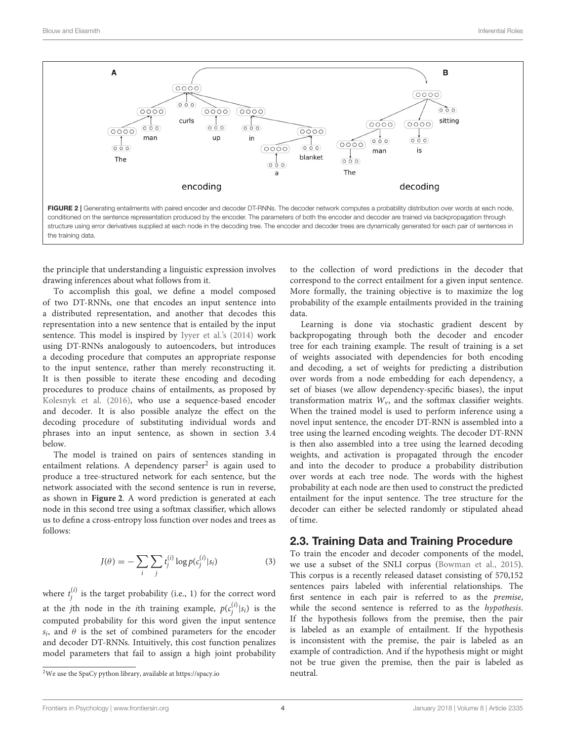

<span id="page-3-1"></span>the principle that understanding a linguistic expression involves drawing inferences about what follows from it.

To accomplish this goal, we define a model composed of two DT-RNNs, one that encodes an input sentence into a distributed representation, and another that decodes this representation into a new sentence that is entailed by the input sentence. This model is inspired by [Iyyer et al.'s \(2014\)](#page-13-17) work using DT-RNNs analogously to autoencoders, but introduces a decoding procedure that computes an appropriate response to the input sentence, rather than merely reconstructing it. It is then possible to iterate these encoding and decoding procedures to produce chains of entailments, as proposed by [Kolesnyk et al. \(2016\)](#page-13-18), who use a sequence-based encoder and decoder. It is also possible analyze the effect on the decoding procedure of substituting individual words and phrases into an input sentence, as shown in section 3.4 below.

The model is trained on pairs of sentences standing in entailment relations. A dependency parser<sup>[2](#page-3-0)</sup> is again used to produce a tree-structured network for each sentence, but the network associated with the second sentence is run in reverse, as shown in **[Figure 2](#page-3-1)**. A word prediction is generated at each node in this second tree using a softmax classifier, which allows us to define a cross-entropy loss function over nodes and trees as follows:

$$
J(\theta) = -\sum_{i} \sum_{j} t_j^{(i)} \log p(c_j^{(i)} | s_i)
$$
 (3)

where  $t_j^{(i)}$  is the target probability (i.e., 1) for the correct word at the *j*th node in the *i*th training example,  $p(c_j^{(i)}|s_i)$  is the computed probability for this word given the input sentence  $s_i$ , and  $\theta$  is the set of combined parameters for the encoder and decoder DT-RNNs. Intuitively, this cost function penalizes model parameters that fail to assign a high joint probability

to the collection of word predictions in the decoder that correspond to the correct entailment for a given input sentence. More formally, the training objective is to maximize the log probability of the example entailments provided in the training data.

Learning is done via stochastic gradient descent by backpropogating through both the decoder and encoder tree for each training example. The result of training is a set of weights associated with dependencies for both encoding and decoding, a set of weights for predicting a distribution over words from a node embedding for each dependency, a set of biases (we allow dependency-specific biases), the input transformation matrix  $W_{\nu}$ , and the softmax classifier weights. When the trained model is used to perform inference using a novel input sentence, the encoder DT-RNN is assembled into a tree using the learned encoding weights. The decoder DT-RNN is then also assembled into a tree using the learned decoding weights, and activation is propagated through the encoder and into the decoder to produce a probability distribution over words at each tree node. The words with the highest probability at each node are then used to construct the predicted entailment for the input sentence. The tree structure for the decoder can either be selected randomly or stipulated ahead of time.

#### 2.3. Training Data and Training Procedure

To train the encoder and decoder components of the model, we use a subset of the SNLI corpus [\(Bowman et al., 2015\)](#page-12-9). This corpus is a recently released dataset consisting of 570,152 sentences pairs labeled with inferential relationships. The first sentence in each pair is referred to as the premise, while the second sentence is referred to as the hypothesis. If the hypothesis follows from the premise, then the pair is labeled as an example of entailment. If the hypothesis is inconsistent with the premise, the pair is labeled as an example of contradiction. And if the hypothesis might or might not be true given the premise, then the pair is labeled as neutral.

<span id="page-3-0"></span> $^2\rm{We}$  use the SpaCy python library, available at<https://spacy.io>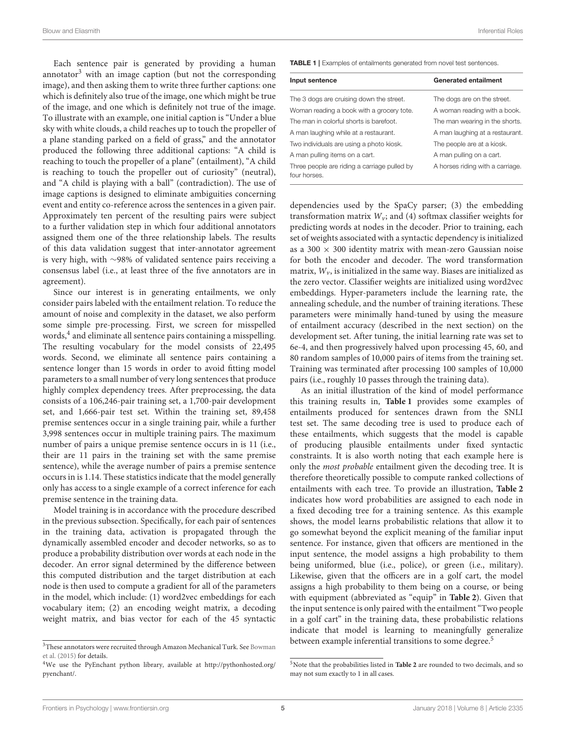Each sentence pair is generated by providing a human annotator $3$  with an image caption (but not the corresponding image), and then asking them to write three further captions: one which is definitely also true of the image, one which might be true of the image, and one which is definitely not true of the image. To illustrate with an example, one initial caption is "Under a blue sky with white clouds, a child reaches up to touch the propeller of a plane standing parked on a field of grass," and the annotator produced the following three additional captions: "A child is reaching to touch the propeller of a plane" (entailment), "A child is reaching to touch the propeller out of curiosity" (neutral), and "A child is playing with a ball" (contradiction). The use of image captions is designed to eliminate ambiguities concerning event and entity co-reference across the sentences in a given pair. Approximately ten percent of the resulting pairs were subject to a further validation step in which four additional annotators assigned them one of the three relationship labels. The results of this data validation suggest that inter-annotator agreement is very high, with ∼98% of validated sentence pairs receiving a consensus label (i.e., at least three of the five annotators are in agreement).

Since our interest is in generating entailments, we only consider pairs labeled with the entailment relation. To reduce the amount of noise and complexity in the dataset, we also perform some simple pre-processing. First, we screen for misspelled words, $\rm ^4$  $\rm ^4$  and eliminate all sentence pairs containing a misspelling. The resulting vocabulary for the model consists of 22,495 words. Second, we eliminate all sentence pairs containing a sentence longer than 15 words in order to avoid fitting model parameters to a small number of very long sentences that produce highly complex dependency trees. After preprocessing, the data consists of a 106,246-pair training set, a 1,700-pair development set, and 1,666-pair test set. Within the training set, 89,458 premise sentences occur in a single training pair, while a further 3,998 sentences occur in multiple training pairs. The maximum number of pairs a unique premise sentence occurs in is 11 (i.e., their are 11 pairs in the training set with the same premise sentence), while the average number of pairs a premise sentence occurs in is 1.14. These statistics indicate that the model generally only has access to a single example of a correct inference for each premise sentence in the training data.

Model training is in accordance with the procedure described in the previous subsection. Specifically, for each pair of sentences in the training data, activation is propagated through the dynamically assembled encoder and decoder networks, so as to produce a probability distribution over words at each node in the decoder. An error signal determined by the difference between this computed distribution and the target distribution at each node is then used to compute a gradient for all of the parameters in the model, which include: (1) word2vec embeddings for each vocabulary item; (2) an encoding weight matrix, a decoding weight matrix, and bias vector for each of the 45 syntactic <span id="page-4-2"></span>TABLE 1 | Examples of entailments generated from novel test sentences.

| Input sentence                                               | <b>Generated entailment</b>      |
|--------------------------------------------------------------|----------------------------------|
| The 3 dogs are cruising down the street.                     | The dogs are on the street.      |
| Woman reading a book with a grocery tote.                    | A woman reading with a book.     |
| The man in colorful shorts is barefoot.                      | The man wearing in the shorts.   |
| A man laughing while at a restaurant.                        | A man laughing at a restaurant.  |
| Two individuals are using a photo kiosk.                     | The people are at a kiosk.       |
| A man pulling items on a cart.                               | A man pulling on a cart.         |
| Three people are riding a carriage pulled by<br>four horses. | A horses riding with a carriage. |

dependencies used by the SpaCy parser; (3) the embedding transformation matrix  $W_{\nu}$ ; and (4) softmax classifier weights for predicting words at nodes in the decoder. Prior to training, each set of weights associated with a syntactic dependency is initialized as a 300  $\times$  300 identity matrix with mean-zero Gaussian noise for both the encoder and decoder. The word transformation matrix,  $W_{\nu}$ , is initialized in the same way. Biases are initialized as the zero vector. Classifier weights are initialized using word2vec embeddings. Hyper-parameters include the learning rate, the annealing schedule, and the number of training iterations. These parameters were minimally hand-tuned by using the measure of entailment accuracy (described in the next section) on the development set. After tuning, the initial learning rate was set to 6e-4, and then progressively halved upon processing 45, 60, and 80 random samples of 10,000 pairs of items from the training set. Training was terminated after processing 100 samples of 10,000 pairs (i.e., roughly 10 passes through the training data).

As an initial illustration of the kind of model performance this training results in, **[Table 1](#page-4-2)** provides some examples of entailments produced for sentences drawn from the SNLI test set. The same decoding tree is used to produce each of these entailments, which suggests that the model is capable of producing plausible entailments under fixed syntactic constraints. It is also worth noting that each example here is only the most probable entailment given the decoding tree. It is therefore theoretically possible to compute ranked collections of entailments with each tree. To provide an illustration, **[Table 2](#page-5-0)** indicates how word probabilities are assigned to each node in a fixed decoding tree for a training sentence. As this example shows, the model learns probabilistic relations that allow it to go somewhat beyond the explicit meaning of the familiar input sentence. For instance, given that officers are mentioned in the input sentence, the model assigns a high probability to them being uniformed, blue (i.e., police), or green (i.e., military). Likewise, given that the officers are in a golf cart, the model assigns a high probability to them being on a course, or being with equipment (abbreviated as "equip" in **[Table 2](#page-5-0)**). Given that the input sentence is only paired with the entailment "Two people in a golf cart" in the training data, these probabilistic relations indicate that model is learning to meaningfully generalize between example inferential transitions to some degree.<sup>[5](#page-4-3)</sup>

<span id="page-4-0"></span> $^3 \rm{These}$  annotators were recruited through Amazon Mechanical Turk. See Bowman et al. [\(2015\)](#page-12-9) for details.

<span id="page-4-1"></span><sup>4</sup>We use the PyEnchant python library, available at [http://pythonhosted.org/](http://pythonhosted.org/pyenchant/) [pyenchant/.](http://pythonhosted.org/pyenchant/)

<span id="page-4-3"></span><sup>5</sup>Note that the probabilities listed in **[Table 2](#page-5-0)** are rounded to two decimals, and so may not sum exactly to 1 in all cases.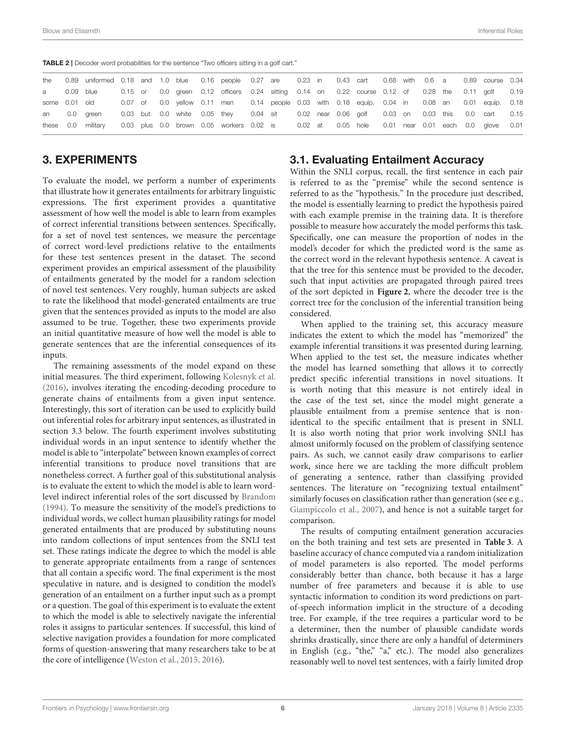<span id="page-5-0"></span>TABLE 2 | Decoder word probabilities for the sentence "Two officers sitting in a golf cart."

| the           | 0.89 uniformed 0.18 and 1.0 blue 0.16 people 0.27 are 0.23 in 0.43 cart 0.68 with 0.6 a 0.89 course 0.34 |  |  |                                                                                                  |  |  |  |  |  |                               |      |
|---------------|----------------------------------------------------------------------------------------------------------|--|--|--------------------------------------------------------------------------------------------------|--|--|--|--|--|-------------------------------|------|
| a 0.09 blue   |                                                                                                          |  |  | 0.15 or 0.0 green 0.12 officers 0.24 sitting 0.14 on 0.22 course 0.12 of 0.28 the 0.11 golf 0.19 |  |  |  |  |  |                               |      |
| some 0.01 old |                                                                                                          |  |  | 0.07 of 0.0 yellow 0.11 men 0.14 people 0.03 with 0.18 equip. 0.04 in 0.08 an 0.01 equip. 0.18   |  |  |  |  |  |                               |      |
|               | an 0.0 green                                                                                             |  |  | 0.03 but 0.0 white 0.05 they 0.04 sit 0.02 near 0.06 golf 0.03 on 0.03 this 0.0 cart 0.15        |  |  |  |  |  |                               |      |
|               | these 0.0 military                                                                                       |  |  | 0.03 plus 0.0 brown 0.05 workers 0.02 is 0.02 at 0.05 hole                                       |  |  |  |  |  | 0.01 near 0.01 each 0.0 glove | 0.01 |

#### 3. EXPERIMENTS

To evaluate the model, we perform a number of experiments that illustrate how it generates entailments for arbitrary linguistic expressions. The first experiment provides a quantitative assessment of how well the model is able to learn from examples of correct inferential transitions between sentences. Specifically, for a set of novel test sentences, we measure the percentage of correct word-level predictions relative to the entailments for these test sentences present in the dataset. The second experiment provides an empirical assessment of the plausibility of entailments generated by the model for a random selection of novel test sentences. Very roughly, human subjects are asked to rate the likelihood that model-generated entailments are true given that the sentences provided as inputs to the model are also assumed to be true. Together, these two experiments provide an initial quantitative measure of how well the model is able to generate sentences that are the inferential consequences of its inputs.

The remaining assessments of the model expand on these initial measures. The third experiment, following [Kolesnyk et al.](#page-13-18) [\(2016\)](#page-13-18), involves iterating the encoding-decoding procedure to generate chains of entailments from a given input sentence. Interestingly, this sort of iteration can be used to explicitly build out inferential roles for arbitrary input sentences, as illustrated in section 3.3 below. The fourth experiment involves substituting individual words in an input sentence to identify whether the model is able to "interpolate" between known examples of correct inferential transitions to produce novel transitions that are nonetheless correct. A further goal of this substitutional analysis is to evaluate the extent to which the model is able to learn wordlevel indirect inferential roles of the sort discussed by [Brandom](#page-12-1) [\(1994\)](#page-12-1). To measure the sensitivity of the model's predictions to individual words, we collect human plausibility ratings for model generated entailments that are produced by substituting nouns into random collections of input sentences from the SNLI test set. These ratings indicate the degree to which the model is able to generate appropriate entailments from a range of sentences that all contain a specific word. The final experiment is the most speculative in nature, and is designed to condition the model's generation of an entailment on a further input such as a prompt or a question. The goal of this experiment is to evaluate the extent to which the model is able to selectively navigate the inferential roles it assigns to particular sentences. If successful, this kind of selective navigation provides a foundation for more complicated forms of question-answering that many researchers take to be at the core of intelligence [\(Weston et al., 2015,](#page-13-10) [2016\)](#page-13-11).

#### 3.1. Evaluating Entailment Accuracy

Within the SNLI corpus, recall, the first sentence in each pair is referred to as the "premise" while the second sentence is referred to as the "hypothesis." In the procedure just described, the model is essentially learning to predict the hypothesis paired with each example premise in the training data. It is therefore possible to measure how accurately the model performs this task. Specifically, one can measure the proportion of nodes in the model's decoder for which the predicted word is the same as the correct word in the relevant hypothesis sentence. A caveat is that the tree for this sentence must be provided to the decoder, such that input activities are propagated through paired trees of the sort depicted in **[Figure 2](#page-3-1)**, where the decoder tree is the correct tree for the conclusion of the inferential transition being considered.

When applied to the training set, this accuracy measure indicates the extent to which the model has "memorized" the example inferential transitions it was presented during learning. When applied to the test set, the measure indicates whether the model has learned something that allows it to correctly predict specific inferential transitions in novel situations. It is worth noting that this measure is not entirely ideal in the case of the test set, since the model might generate a plausible entailment from a premise sentence that is nonidentical to the specific entailment that is present in SNLI. It is also worth noting that prior work involving SNLI has almost uniformly focused on the problem of classifying sentence pairs. As such, we cannot easily draw comparisons to earlier work, since here we are tackling the more difficult problem of generating a sentence, rather than classifying provided sentences. The literature on "recognizing textual entailment" similarly focuses on classification rather than generation (see e.g., [Giampiccolo et al., 2007\)](#page-13-19), and hence is not a suitable target for comparison.

The results of computing entailment generation accuracies on the both training and test sets are presented in **[Table 3](#page-6-0)**. A baseline accuracy of chance computed via a random initialization of model parameters is also reported. The model performs considerably better than chance, both because it has a large number of free parameters and because it is able to use syntactic information to condition its word predictions on partof-speech information implicit in the structure of a decoding tree. For example, if the tree requires a particular word to be a determiner, then the number of plausible candidate words shrinks drastically, since there are only a handful of determiners in English (e.g., "the," "a," etc.). The model also generalizes reasonably well to novel test sentences, with a fairly limited drop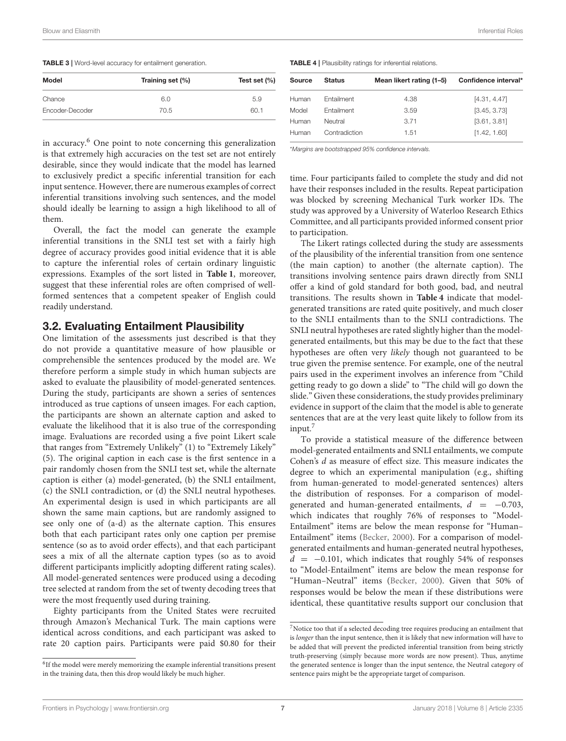<span id="page-6-0"></span>

| <b>TABLE 3</b>   Word-level accuracy for entailment generation. |  |
|-----------------------------------------------------------------|--|
|-----------------------------------------------------------------|--|

| Model           | Training set (%) | Test set $(\% )$ |
|-----------------|------------------|------------------|
| Chance          | 6.0              | 5.9              |
| Encoder-Decoder | 70.5             | 60.1             |

in accuracy.[6](#page-6-1) One point to note concerning this generalization is that extremely high accuracies on the test set are not entirely desirable, since they would indicate that the model has learned to exclusively predict a specific inferential transition for each input sentence. However, there are numerous examples of correct inferential transitions involving such sentences, and the model should ideally be learning to assign a high likelihood to all of them.

Overall, the fact the model can generate the example inferential transitions in the SNLI test set with a fairly high degree of accuracy provides good initial evidence that it is able to capture the inferential roles of certain ordinary linguistic expressions. Examples of the sort listed in **[Table 1](#page-4-2)**, moreover, suggest that these inferential roles are often comprised of wellformed sentences that a competent speaker of English could readily understand.

#### 3.2. Evaluating Entailment Plausibility

One limitation of the assessments just described is that they do not provide a quantitative measure of how plausible or comprehensible the sentences produced by the model are. We therefore perform a simple study in which human subjects are asked to evaluate the plausibility of model-generated sentences. During the study, participants are shown a series of sentences introduced as true captions of unseen images. For each caption, the participants are shown an alternate caption and asked to evaluate the likelihood that it is also true of the corresponding image. Evaluations are recorded using a five point Likert scale that ranges from "Extremely Unlikely" (1) to "Extremely Likely" (5). The original caption in each case is the first sentence in a pair randomly chosen from the SNLI test set, while the alternate caption is either (a) model-generated, (b) the SNLI entailment, (c) the SNLI contradiction, or (d) the SNLI neutral hypotheses. An experimental design is used in which participants are all shown the same main captions, but are randomly assigned to see only one of (a-d) as the alternate caption. This ensures both that each participant rates only one caption per premise sentence (so as to avoid order effects), and that each participant sees a mix of all the alternate caption types (so as to avoid different participants implicitly adopting different rating scales). All model-generated sentences were produced using a decoding tree selected at random from the set of twenty decoding trees that were the most frequently used during training.

Eighty participants from the United States were recruited through Amazon's Mechanical Turk. The main captions were identical across conditions, and each participant was asked to rate 20 caption pairs. Participants were paid \$0.80 for their <span id="page-6-2"></span>TABLE 4 | Plausibility ratings for inferential relations.

| Source | <b>Status</b> | Mean likert rating (1-5) | Confidence interval* |
|--------|---------------|--------------------------|----------------------|
| Human  | Entailment    | 4.38                     | [4.31, 4.47]         |
| Model  | Entailment    | 3.59                     | [3.45, 3.73]         |
| Human  | Neutral       | 3.71                     | [3.61, 3.81]         |
| Human  | Contradiction | 1.51                     | [1.42, 1.60]         |
|        |               |                          |                      |

\*Margins are bootstrapped 95% confidence intervals.

time. Four participants failed to complete the study and did not have their responses included in the results. Repeat participation was blocked by screening Mechanical Turk worker IDs. The study was approved by a University of Waterloo Research Ethics Committee, and all participants provided informed consent prior to participation.

The Likert ratings collected during the study are assessments of the plausibility of the inferential transition from one sentence (the main caption) to another (the alternate caption). The transitions involving sentence pairs drawn directly from SNLI offer a kind of gold standard for both good, bad, and neutral transitions. The results shown in **[Table 4](#page-6-2)** indicate that modelgenerated transitions are rated quite positively, and much closer to the SNLI entailments than to the SNLI contradictions. The SNLI neutral hypotheses are rated slightly higher than the modelgenerated entailments, but this may be due to the fact that these hypotheses are often very likely though not guaranteed to be true given the premise sentence. For example, one of the neutral pairs used in the experiment involves an inference from "Child getting ready to go down a slide" to "The child will go down the slide." Given these considerations, the study provides preliminary evidence in support of the claim that the model is able to generate sentences that are at the very least quite likely to follow from its input.<sup>[7](#page-6-3)</sup>

To provide a statistical measure of the difference between model-generated entailments and SNLI entailments, we compute Cohen's d as measure of effect size. This measure indicates the degree to which an experimental manipulation (e.g., shifting from human-generated to model-generated sentences) alters the distribution of responses. For a comparison of modelgenerated and human-generated entailments,  $d = -0.703$ , which indicates that roughly 76% of responses to "Model-Entailment" items are below the mean response for "Human– Entailment" items [\(Becker, 2000\)](#page-12-10). For a comparison of modelgenerated entailments and human-generated neutral hypotheses,  $d = -0.101$ , which indicates that roughly 54% of responses to "Model-Entailment" items are below the mean response for "Human–Neutral" items [\(Becker, 2000\)](#page-12-10). Given that 50% of responses would be below the mean if these distributions were identical, these quantitative results support our conclusion that

<span id="page-6-1"></span><sup>&</sup>lt;sup>6</sup>If the model were merely memorizing the example inferential transitions present in the training data, then this drop would likely be much higher.

<span id="page-6-3"></span> $^7\rm{Notice}$  too that if a selected decoding tree requires producing an entailment that is longer than the input sentence, then it is likely that new information will have to be added that will prevent the predicted inferential transition from being strictly truth-preserving (simply because more words are now present). Thus, anytime the generated sentence is longer than the input sentence, the Neutral category of sentence pairs might be the appropriate target of comparison.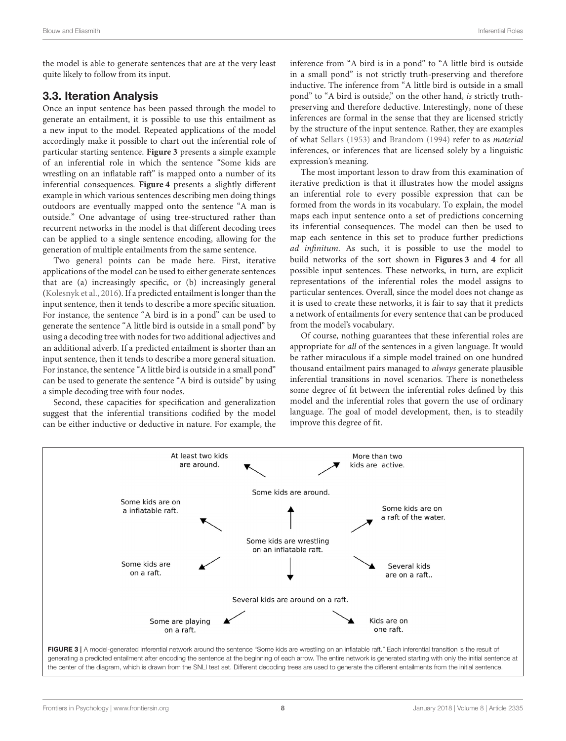the model is able to generate sentences that are at the very least quite likely to follow from its input.

# 3.3. Iteration Analysis

Once an input sentence has been passed through the model to generate an entailment, it is possible to use this entailment as a new input to the model. Repeated applications of the model accordingly make it possible to chart out the inferential role of particular starting sentence. **[Figure 3](#page-7-0)** presents a simple example of an inferential role in which the sentence "Some kids are wrestling on an inflatable raft" is mapped onto a number of its inferential consequences. **[Figure 4](#page-8-0)** presents a slightly different example in which various sentences describing men doing things outdoors are eventually mapped onto the sentence "A man is outside." One advantage of using tree-structured rather than recurrent networks in the model is that different decoding trees can be applied to a single sentence encoding, allowing for the generation of multiple entailments from the same sentence.

Two general points can be made here. First, iterative applications of the model can be used to either generate sentences that are (a) increasingly specific, or (b) increasingly general [\(Kolesnyk et al., 2016\)](#page-13-18). If a predicted entailment is longer than the input sentence, then it tends to describe a more specific situation. For instance, the sentence "A bird is in a pond" can be used to generate the sentence "A little bird is outside in a small pond" by using a decoding tree with nodes for two additional adjectives and an additional adverb. If a predicted entailment is shorter than an input sentence, then it tends to describe a more general situation. For instance, the sentence "A little bird is outside in a small pond" can be used to generate the sentence "A bird is outside" by using a simple decoding tree with four nodes.

Second, these capacities for specification and generalization suggest that the inferential transitions codified by the model can be either inductive or deductive in nature. For example, the inference from "A bird is in a pond" to "A little bird is outside in a small pond" is not strictly truth-preserving and therefore inductive. The inference from "A little bird is outside in a small pond" to "A bird is outside," on the other hand, is strictly truthpreserving and therefore deductive. Interestingly, none of these inferences are formal in the sense that they are licensed strictly by the structure of the input sentence. Rather, they are examples of what [Sellars \(1953\)](#page-13-2) and [Brandom \(1994\)](#page-12-1) refer to as material inferences, or inferences that are licensed solely by a linguistic expression's meaning.

The most important lesson to draw from this examination of iterative prediction is that it illustrates how the model assigns an inferential role to every possible expression that can be formed from the words in its vocabulary. To explain, the model maps each input sentence onto a set of predictions concerning its inferential consequences. The model can then be used to map each sentence in this set to produce further predictions ad infinitum. As such, it is possible to use the model to build networks of the sort shown in **[Figures 3](#page-7-0)** and **[4](#page-8-0)** for all possible input sentences. These networks, in turn, are explicit representations of the inferential roles the model assigns to particular sentences. Overall, since the model does not change as it is used to create these networks, it is fair to say that it predicts a network of entailments for every sentence that can be produced from the model's vocabulary.

Of course, nothing guarantees that these inferential roles are appropriate for all of the sentences in a given language. It would be rather miraculous if a simple model trained on one hundred thousand entailment pairs managed to always generate plausible inferential transitions in novel scenarios. There is nonetheless some degree of fit between the inferential roles defined by this model and the inferential roles that govern the use of ordinary language. The goal of model development, then, is to steadily improve this degree of fit.



<span id="page-7-0"></span>generating a predicted entailment after encoding the sentence at the beginning of each arrow. The entire network is generated starting with only the initial sentence at the center of the diagram, which is drawn from the SNLI test set. Different decoding trees are used to generate the different entailments from the initial sentence.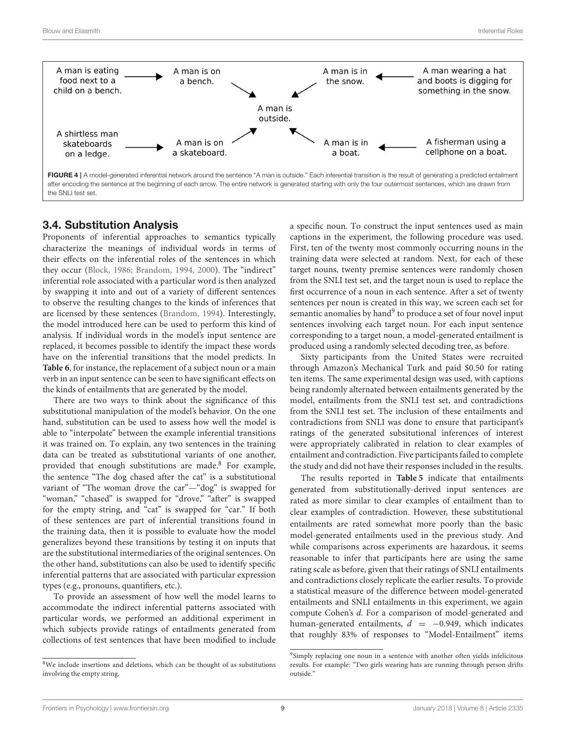

### <span id="page-8-0"></span>3.4. Substitution Analysis

Proponents of inferential approaches to semantics typically characterize the meanings of individual words in terms of their effects on the inferential roles of the sentences in which they occur [\(Block, 1986;](#page-12-11) [Brandom, 1994,](#page-12-1) [2000\)](#page-12-2). The "indirect" inferential role associated with a particular word is then analyzed by swapping it into and out of a variety of different sentences to observe the resulting changes to the kinds of inferences that are licensed by these sentences [\(Brandom, 1994\)](#page-12-1). Interestingly, the model introduced here can be used to perform this kind of analysis. If individual words in the model's input sentence are replaced, it becomes possible to identify the impact these words have on the inferential transitions that the model predicts. In **[Table 6](#page-9-0)**, for instance, the replacement of a subject noun or a main verb in an input sentence can be seen to have significant effects on the kinds of entailments that are generated by the model.

There are two ways to think about the significance of this substitutional manipulation of the model's behavior. On the one hand, substitution can be used to assess how well the model is able to "interpolate" between the example inferential transitions it was trained on. To explain, any two sentences in the training data can be treated as substitutional variants of one another, provided that enough substitutions are made.[8](#page-8-1) For example, the sentence "The dog chased after the cat" is a substitutional variant of "The woman drove the car"—"dog" is swapped for "woman," "chased" is swapped for "drove," "after" is swapped for the empty string, and "cat" is swapped for "car." If both of these sentences are part of inferential transitions found in the training data, then it is possible to evaluate how the model generalizes beyond these transitions by testing it on inputs that are the substitutional intermediaries of the original sentences. On the other hand, substitutions can also be used to identify specific inferential patterns that are associated with particular expression types (e.g., pronouns, quantifiers, etc.).

To provide an assessment of how well the model learns to accommodate the indirect inferential patterns associated with particular words, we performed an additional experiment in which subjects provide ratings of entailments generated from collections of test sentences that have been modified to include a specific noun. To construct the input sentences used as main captions in the experiment, the following procedure was used. First, ten of the twenty most commonly occurring nouns in the training data were selected at random. Next, for each of these target nouns, twenty premise sentences were randomly chosen from the SNLI test set, and the target noun is used to replace the first occurrence of a noun in each sentence. After a set of twenty sentences per noun is created in this way, we screen each set for semantic anomalies by hand<sup>[9](#page-8-2)</sup> to produce a set of four novel input sentences involving each target noun. For each input sentence corresponding to a target noun, a model-generated entailment is produced using a randomly selected decoding tree, as before.

Sixty participants from the United States were recruited through Amazon's Mechanical Turk and paid \$0.50 for rating ten items. The same experimental design was used, with captions being randomly alternated between entailments generated by the model, entailments from the SNLI test set, and contradictions from the SNLI test set. The inclusion of these entailments and contradictions from SNLI was done to ensure that participant's ratings of the generated subsitutional inferences of interest were appropriately calibrated in relation to clear examples of entailment and contradiction. Five participants failed to complete the study and did not have their responses included in the results.

The results reported in **[Table 5](#page-9-1)** indicate that entailments generated from substitutionally-derived input sentences are rated as more similar to clear examples of entailment than to clear examples of contradiction. However, these substitutional entailments are rated somewhat more poorly than the basic model-generated entailments used in the previous study. And while comparisons across experiments are hazardous, it seems reasonable to infer that participants here are using the same rating scale as before, given that their ratings of SNLI entailments and contradictions closely replicate the earlier results. To provide a statistical measure of the difference between model-generated entailments and SNLI entailments in this experiment, we again compute Cohen's d. For a comparison of model-generated and human-generated entailments,  $d = -0.949$ , which indicates that roughly 83% of responses to "Model-Entailment" items

<span id="page-8-1"></span><sup>8</sup>We include insertions and deletions, which can be thought of as substitutions involving the empty string.

<span id="page-8-2"></span><sup>&</sup>lt;sup>9</sup>Simply replacing one noun in a sentence with another often yields infelicitous results. For example: "Two girls wearing hats are running through person drifts outside.'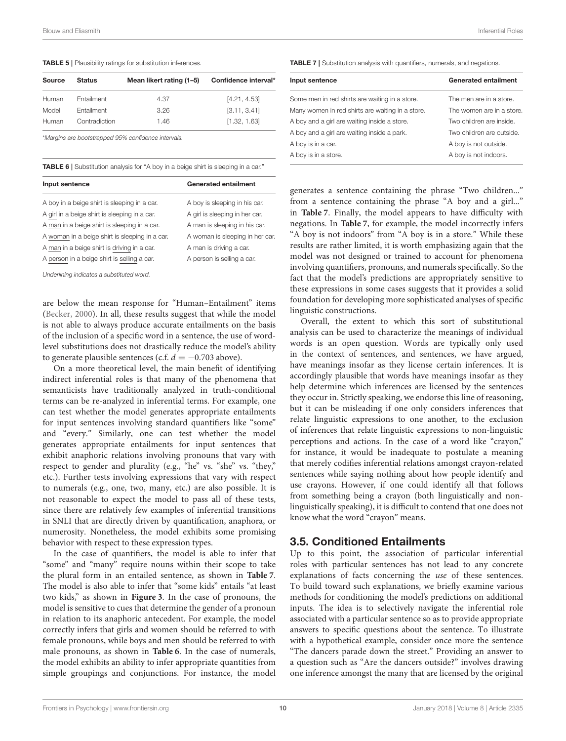<span id="page-9-1"></span>TABLE 5 | Plausibility ratings for substitution inferences.

| Source | <b>Status</b> | Mean likert rating (1-5) | Confidence interval* |
|--------|---------------|--------------------------|----------------------|
| Human  | Entailment    | 4.37                     | [4.21, 4.53]         |
| Model  | Entailment    | 3.26                     | [3.11, 3.41]         |
| Human  | Contradiction | 1.46                     | [1.32, 1.63]         |

\*Margins are bootstrapped 95% confidence intervals.

<span id="page-9-0"></span>TABLE 6 | Substitution analysis for "A boy in a beige shirt is sleeping in a car."

| Input sentence                                 | <b>Generated entailment</b>     |
|------------------------------------------------|---------------------------------|
| A boy in a beige shirt is sleeping in a car.   | A boy is sleeping in his car.   |
| A girl in a beige shirt is sleeping in a car.  | A girl is sleeping in her car.  |
| A man in a beige shirt is sleeping in a car.   | A man is sleeping in his car.   |
| A woman in a beige shirt is sleeping in a car. | A woman is sleeping in her car. |
| A man in a beige shirt is driving in a car.    | A man is driving a car.         |
| A person in a beige shirt is selling a car.    | A person is selling a car.      |

Underlining indicates a substituted word.

are below the mean response for "Human–Entailment" items [\(Becker, 2000\)](#page-12-10). In all, these results suggest that while the model is not able to always produce accurate entailments on the basis of the inclusion of a specific word in a sentence, the use of wordlevel substitutions does not drastically reduce the model's ability to generate plausible sentences (c.f.  $d = -0.703$  above).

On a more theoretical level, the main benefit of identifying indirect inferential roles is that many of the phenomena that semanticists have traditionally analyzed in truth-conditional terms can be re-analyzed in inferential terms. For example, one can test whether the model generates appropriate entailments for input sentences involving standard quantifiers like "some" and "every." Similarly, one can test whether the model generates appropriate entailments for input sentences that exhibit anaphoric relations involving pronouns that vary with respect to gender and plurality (e.g., "he" vs. "she" vs. "they," etc.). Further tests involving expressions that vary with respect to numerals (e.g., one, two, many, etc.) are also possible. It is not reasonable to expect the model to pass all of these tests, since there are relatively few examples of inferential transitions in SNLI that are directly driven by quantification, anaphora, or numerosity. Nonetheless, the model exhibits some promising behavior with respect to these expression types.

In the case of quantifiers, the model is able to infer that "some" and "many" require nouns within their scope to take the plural form in an entailed sentence, as shown in **[Table 7](#page-9-2)**. The model is also able to infer that "some kids" entails "at least two kids," as shown in **[Figure 3](#page-7-0)**. In the case of pronouns, the model is sensitive to cues that determine the gender of a pronoun in relation to its anaphoric antecedent. For example, the model correctly infers that girls and women should be referred to with female pronouns, while boys and men should be referred to with male pronouns, as shown in **[Table 6](#page-9-0)**. In the case of numerals, the model exhibits an ability to infer appropriate quantities from simple groupings and conjunctions. For instance, the model <span id="page-9-2"></span>TABLE 7 | Substitution analysis with quantifiers, numerals, and negations.

| Input sentence                                   | <b>Generated entailment</b> |
|--------------------------------------------------|-----------------------------|
| Some men in red shirts are waiting in a store.   | The men are in a store.     |
| Many women in red shirts are waiting in a store. | The women are in a store.   |
| A boy and a girl are waiting inside a store.     | Two children are inside.    |
| A boy and a girl are waiting inside a park.      | Two children are outside.   |
| A boy is in a car.                               | A boy is not outside.       |
| A boy is in a store.                             | A boy is not indoors.       |

generates a sentence containing the phrase "Two children..." from a sentence containing the phrase "A boy and a girl..." in **[Table 7](#page-9-2)**. Finally, the model appears to have difficulty with negations. In **[Table 7](#page-9-2)**, for example, the model incorrectly infers "A boy is not indoors" from "A boy is in a store." While these results are rather limited, it is worth emphasizing again that the model was not designed or trained to account for phenomena involving quantifiers, pronouns, and numerals specifically. So the fact that the model's predictions are appropriately sensitive to these expressions in some cases suggests that it provides a solid foundation for developing more sophisticated analyses of specific linguistic constructions.

Overall, the extent to which this sort of substitutional analysis can be used to characterize the meanings of individual words is an open question. Words are typically only used in the context of sentences, and sentences, we have argued, have meanings insofar as they license certain inferences. It is accordingly plausible that words have meanings insofar as they help determine which inferences are licensed by the sentences they occur in. Strictly speaking, we endorse this line of reasoning, but it can be misleading if one only considers inferences that relate linguistic expressions to one another, to the exclusion of inferences that relate linguistic expressions to non-linguistic perceptions and actions. In the case of a word like "crayon," for instance, it would be inadequate to postulate a meaning that merely codifies inferential relations amongst crayon-related sentences while saying nothing about how people identify and use crayons. However, if one could identify all that follows from something being a crayon (both linguistically and nonlinguistically speaking), it is difficult to contend that one does not know what the word "crayon" means.

## 3.5. Conditioned Entailments

Up to this point, the association of particular inferential roles with particular sentences has not lead to any concrete explanations of facts concerning the use of these sentences. To build toward such explanations, we briefly examine various methods for conditioning the model's predictions on additional inputs. The idea is to selectively navigate the inferential role associated with a particular sentence so as to provide appropriate answers to specific questions about the sentence. To illustrate with a hypothetical example, consider once more the sentence "The dancers parade down the street." Providing an answer to a question such as "Are the dancers outside?" involves drawing one inference amongst the many that are licensed by the original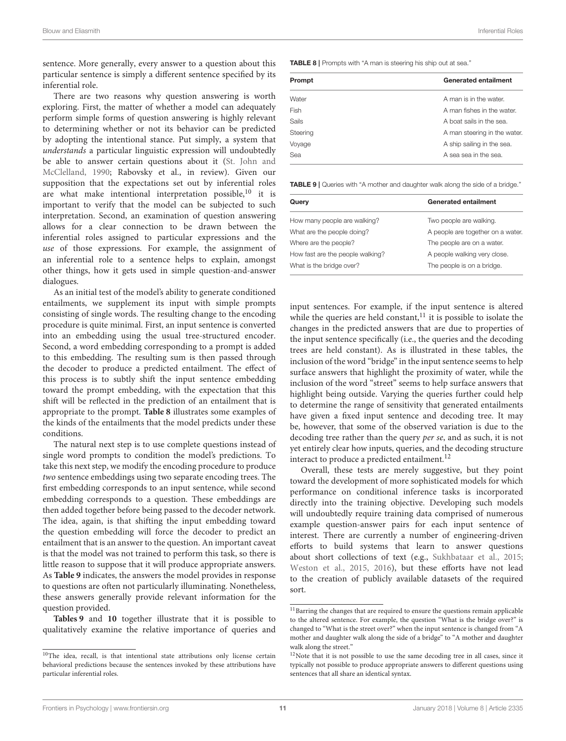sentence. More generally, every answer to a question about this particular sentence is simply a different sentence specified by its inferential role.

There are two reasons why question answering is worth exploring. First, the matter of whether a model can adequately perform simple forms of question answering is highly relevant to determining whether or not its behavior can be predicted by adopting the intentional stance. Put simply, a system that understands a particular linguistic expression will undoubtedly be able to answer certain questions about it (St. John and McClelland, [1990;](#page-13-6) Rabovsky et al., in review). Given our supposition that the expectations set out by inferential roles are what make intentional interpretation possible,<sup>[10](#page-10-0)</sup> it is important to verify that the model can be subjected to such interpretation. Second, an examination of question answering allows for a clear connection to be drawn between the inferential roles assigned to particular expressions and the use of those expressions. For example, the assignment of an inferential role to a sentence helps to explain, amongst other things, how it gets used in simple question-and-answer dialogues.

As an initial test of the model's ability to generate conditioned entailments, we supplement its input with simple prompts consisting of single words. The resulting change to the encoding procedure is quite minimal. First, an input sentence is converted into an embedding using the usual tree-structured encoder. Second, a word embedding corresponding to a prompt is added to this embedding. The resulting sum is then passed through the decoder to produce a predicted entailment. The effect of this process is to subtly shift the input sentence embedding toward the prompt embedding, with the expectation that this shift will be reflected in the prediction of an entailment that is appropriate to the prompt. **[Table 8](#page-10-1)** illustrates some examples of the kinds of the entailments that the model predicts under these conditions.

The natural next step is to use complete questions instead of single word prompts to condition the model's predictions. To take this next step, we modify the encoding procedure to produce two sentence embeddings using two separate encoding trees. The first embedding corresponds to an input sentence, while second embedding corresponds to a question. These embeddings are then added together before being passed to the decoder network. The idea, again, is that shifting the input embedding toward the question embedding will force the decoder to predict an entailment that is an answer to the question. An important caveat is that the model was not trained to perform this task, so there is little reason to suppose that it will produce appropriate answers. As **[Table 9](#page-10-2)** indicates, the answers the model provides in response to questions are often not particularly illuminating. Nonetheless, these answers generally provide relevant information for the question provided.

**[Tables 9](#page-10-2)** and **[10](#page-11-0)** together illustrate that it is possible to qualitatively examine the relative importance of queries and <span id="page-10-1"></span>TABLE 8 | Prompts with "A man is steering his ship out at sea."

| Prompt       | <b>Generated entailment</b>  |
|--------------|------------------------------|
| Water        | A man is in the water.       |
| Fish         | A man fishes in the water.   |
| <b>Sails</b> | A boat sails in the sea.     |
| Steering     | A man steering in the water. |
| Voyage       | A ship sailing in the sea.   |
| Sea          | A sea sea in the sea.        |

<span id="page-10-2"></span>TABLE 9 | Queries with "A mother and daughter walk along the side of a bridge."

| Query                            | <b>Generated entailment</b>       |
|----------------------------------|-----------------------------------|
| How many people are walking?     | Two people are walking.           |
| What are the people doing?       | A people are together on a water. |
| Where are the people?            | The people are on a water.        |
| How fast are the people walking? | A people walking very close.      |
| What is the bridge over?         | The people is on a bridge.        |

input sentences. For example, if the input sentence is altered while the queries are held constant, $11$  it is possible to isolate the changes in the predicted answers that are due to properties of the input sentence specifically (i.e., the queries and the decoding trees are held constant). As is illustrated in these tables, the inclusion of the word "bridge" in the input sentence seems to help surface answers that highlight the proximity of water, while the inclusion of the word "street" seems to help surface answers that highlight being outside. Varying the queries further could help to determine the range of sensitivity that generated entailments have given a fixed input sentence and decoding tree. It may be, however, that some of the observed variation is due to the decoding tree rather than the query per se, and as such, it is not yet entirely clear how inputs, queries, and the decoding structure interact to produce a predicted entailment.<sup>[12](#page-10-4)</sup>

Overall, these tests are merely suggestive, but they point toward the development of more sophisticated models for which performance on conditional inference tasks is incorporated directly into the training objective. Developing such models will undoubtedly require training data comprised of numerous example question-answer pairs for each input sentence of interest. There are currently a number of engineering-driven efforts to build systems that learn to answer questions about short collections of text (e.g., [Sukhbataar et al., 2015;](#page-13-9) [Weston et al., 2015,](#page-13-10) [2016\)](#page-13-11), but these efforts have not lead to the creation of publicly available datasets of the required sort.

<span id="page-10-0"></span> $10$ The idea, recall, is that intentional state attributions only license certain behavioral predictions because the sentences invoked by these attributions have particular inferential roles.

<span id="page-10-3"></span> $^{11}\mathrm{B}$  the changes that are required to ensure the questions remain applicable to the altered sentence. For example, the question "What is the bridge over?" is changed to "What is the street over?" when the input sentence is changed from "A mother and daughter walk along the side of a bridge" to "A mother and daughter walk along the street.'

<span id="page-10-4"></span> $12$ Note that it is not possible to use the same decoding tree in all cases, since it typically not possible to produce appropriate answers to different questions using sentences that all share an identical syntax.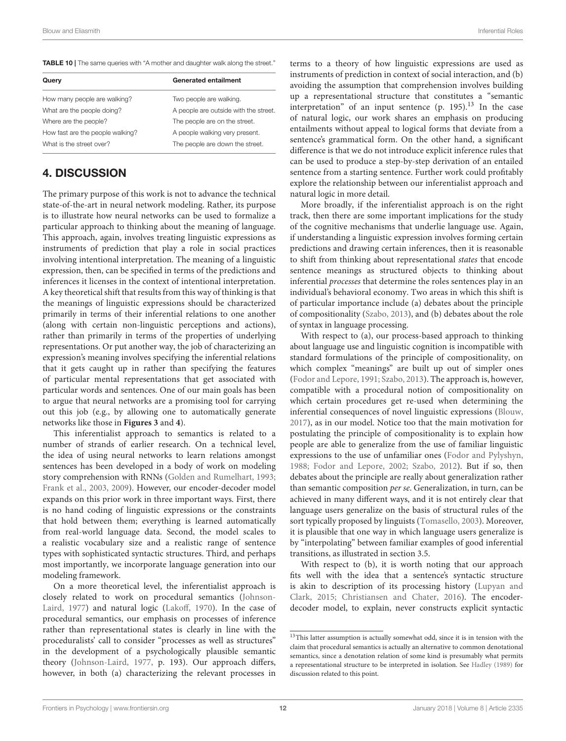<span id="page-11-0"></span>TABLE 10 | The same queries with "A mother and daughter walk along the street."

| Query                            | <b>Generated entailment</b>           |
|----------------------------------|---------------------------------------|
| How many people are walking?     | Two people are walking.               |
| What are the people doing?       | A people are outside with the street. |
| Where are the people?            | The people are on the street.         |
| How fast are the people walking? | A people walking very present.        |
| What is the street over?         | The people are down the street.       |

# 4. DISCUSSION

The primary purpose of this work is not to advance the technical state-of-the-art in neural network modeling. Rather, its purpose is to illustrate how neural networks can be used to formalize a particular approach to thinking about the meaning of language. This approach, again, involves treating linguistic expressions as instruments of prediction that play a role in social practices involving intentional interpretation. The meaning of a linguistic expression, then, can be specified in terms of the predictions and inferences it licenses in the context of intentional interpretation. A key theoretical shift that results from this way of thinking is that the meanings of linguistic expressions should be characterized primarily in terms of their inferential relations to one another (along with certain non-linguistic perceptions and actions), rather than primarily in terms of the properties of underlying representations. Or put another way, the job of characterizing an expression's meaning involves specifying the inferential relations that it gets caught up in rather than specifying the features of particular mental representations that get associated with particular words and sentences. One of our main goals has been to argue that neural networks are a promising tool for carrying out this job (e.g., by allowing one to automatically generate networks like those in **[Figures 3](#page-7-0)** and **[4](#page-8-0)**).

This inferentialist approach to semantics is related to a number of strands of earlier research. On a technical level, the idea of using neural networks to learn relations amongst sentences has been developed in a body of work on modeling story comprehension with RNNs [\(Golden and Rumelhart, 1993;](#page-13-20) [Frank et al., 2003,](#page-13-21) [2009\)](#page-13-22). However, our encoder-decoder model expands on this prior work in three important ways. First, there is no hand coding of linguistic expressions or the constraints that hold between them; everything is learned automatically from real-world language data. Second, the model scales to a realistic vocabulary size and a realistic range of sentence types with sophisticated syntactic structures. Third, and perhaps most importantly, we incorporate language generation into our modeling framework.

On a more theoretical level, the inferentialist approach is closely related to work on procedural semantics (Johnson-Laird, [1977\)](#page-13-23) and natural logic [\(Lakoff, 1970\)](#page-13-24). In the case of procedural semantics, our emphasis on processes of inference rather than representational states is clearly in line with the proceduralists' call to consider "processes as well as structures" in the development of a psychologically plausible semantic theory [\(Johnson-Laird, 1977,](#page-13-23) p. 193). Our approach differs, however, in both (a) characterizing the relevant processes in terms to a theory of how linguistic expressions are used as instruments of prediction in context of social interaction, and (b) avoiding the assumption that comprehension involves building up a representational structure that constitutes a "semantic interpretation" of an input sentence  $(p. 195).$ <sup>[13](#page-11-1)</sup> In the case of natural logic, our work shares an emphasis on producing entailments without appeal to logical forms that deviate from a sentence's grammatical form. On the other hand, a significant difference is that we do not introduce explicit inference rules that can be used to produce a step-by-step derivation of an entailed sentence from a starting sentence. Further work could profitably explore the relationship between our inferentialist approach and natural logic in more detail.

More broadly, if the inferentialist approach is on the right track, then there are some important implications for the study of the cognitive mechanisms that underlie language use. Again, if understanding a linguistic expression involves forming certain predictions and drawing certain inferences, then it is reasonable to shift from thinking about representational states that encode sentence meanings as structured objects to thinking about inferential processes that determine the roles sentences play in an individual's behavioral economy. Two areas in which this shift is of particular importance include (a) debates about the principle of compositionality [\(Szabo, 2013\)](#page-13-25), and (b) debates about the role of syntax in language processing.

With respect to (a), our process-based approach to thinking about language use and linguistic cognition is incompatible with standard formulations of the principle of compositionality, on which complex "meanings" are built up out of simpler ones [\(Fodor and Lepore, 1991;](#page-13-26) [Szabo, 2013\)](#page-13-25). The approach is, however, compatible with a procedural notion of compositionality on which certain procedures get re-used when determining the inferential consequences of novel linguistic expressions [\(Blouw,](#page-12-8) [2017\)](#page-12-8), as in our model. Notice too that the main motivation for postulating the principle of compositionality is to explain how people are able to generalize from the use of familiar linguistic expressions to the use of unfamiliar ones [\(Fodor and Pylyshyn,](#page-13-27) [1988;](#page-13-27) [Fodor and Lepore, 2002;](#page-13-28) [Szabo, 2012\)](#page-13-29). But if so, then debates about the principle are really about generalization rather than semantic composition per se. Generalization, in turn, can be achieved in many different ways, and it is not entirely clear that language users generalize on the basis of structural rules of the sort typically proposed by linguists [\(Tomasello, 2003\)](#page-13-4). Moreover, it is plausible that one way in which language users generalize is by "interpolating" between familiar examples of good inferential transitions, as illustrated in section 3.5.

With respect to (b), it is worth noting that our approach fits well with the idea that a sentence's syntactic structure is akin to description of its processing history (Lupyan and Clark, [2015;](#page-13-30) [Christiansen and Chater, 2016\)](#page-12-0). The encoderdecoder model, to explain, never constructs explicit syntactic

<span id="page-11-1"></span> $^{13}\mathrm{This}$  latter assumption is actually somewhat odd, since it is in tension with the claim that procedural semantics is actually an alternative to common denotational semantics, since a denotation relation of some kind is presumably what permits a representational structure to be interpreted in isolation. See [Hadley \(1989\)](#page-13-31) for discussion related to this point.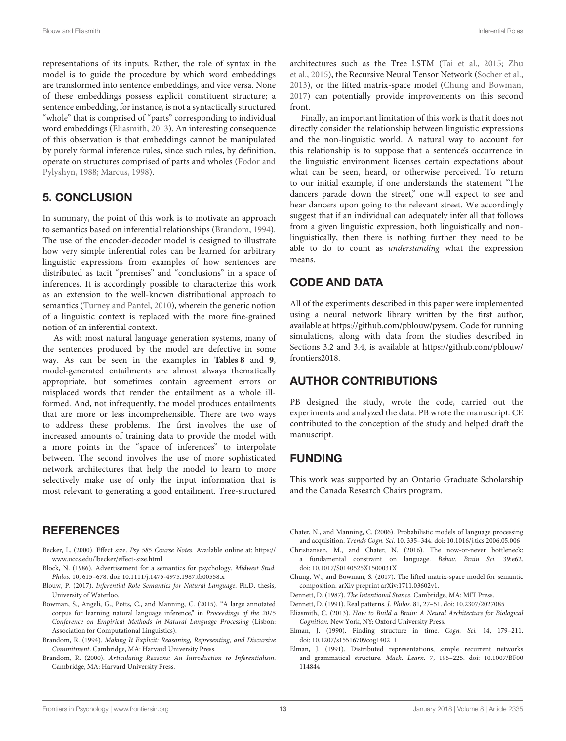representations of its inputs. Rather, the role of syntax in the model is to guide the procedure by which word embeddings are transformed into sentence embeddings, and vice versa. None of these embeddings possess explicit constituent structure; a sentence embedding, for instance, is not a syntactically structured "whole" that is comprised of "parts" corresponding to individual word embeddings [\(Eliasmith, 2013\)](#page-12-12). An interesting consequence of this observation is that embeddings cannot be manipulated by purely formal inference rules, since such rules, by definition, operate on structures comprised of parts and wholes (Fodor and Pylyshyn, [1988;](#page-13-27) [Marcus, 1998\)](#page-13-32).

# 5. CONCLUSION

In summary, the point of this work is to motivate an approach to semantics based on inferential relationships [\(Brandom, 1994\)](#page-12-1). The use of the encoder-decoder model is designed to illustrate how very simple inferential roles can be learned for arbitrary linguistic expressions from examples of how sentences are distributed as tacit "premises" and "conclusions" in a space of inferences. It is accordingly possible to characterize this work as an extension to the well-known distributional approach to semantics [\(Turney and Pantel, 2010\)](#page-13-14), wherein the generic notion of a linguistic context is replaced with the more fine-grained notion of an inferential context.

As with most natural language generation systems, many of the sentences produced by the model are defective in some way. As can be seen in the examples in **[Tables 8](#page-10-1)** and **[9](#page-10-2)**, model-generated entailments are almost always thematically appropriate, but sometimes contain agreement errors or misplaced words that render the entailment as a whole illformed. And, not infrequently, the model produces entailments that are more or less incomprehensible. There are two ways to address these problems. The first involves the use of increased amounts of training data to provide the model with a more points in the "space of inferences" to interpolate between. The second involves the use of more sophisticated network architectures that help the model to learn to more selectively make use of only the input information that is most relevant to generating a good entailment. Tree-structured

## **REFERENCES**

- <span id="page-12-10"></span>Becker, L. (2000). Effect size. Psy 585 Course Notes. Available online at: [https://](https://www.uccs.edu/lbecker/effect-size.html) [www.uccs.edu/lbecker/effect-size.html](https://www.uccs.edu/lbecker/effect-size.html)
- <span id="page-12-11"></span>Block, N. (1986). Advertisement for a semantics for psychology. Midwest Stud. Philos. 10, 615–678. doi: [10.1111/j.1475-4975.1987.tb00558.x](https://doi.org/10.1111/j.1475-4975.1987.tb00558.x)
- <span id="page-12-8"></span>Blouw, P. (2017). Inferential Role Semantics for Natural Language. Ph.D. thesis, University of Waterloo.
- <span id="page-12-9"></span>Bowman, S., Angeli, G., Potts, C., and Manning, C. (2015). "A large annotated corpus for learning natural language inference," in Proceedings of the 2015 Conference on Empirical Methods in Natural Language Processing (Lisbon: Association for Computational Linguistics).
- <span id="page-12-1"></span>Brandom, R. (1994). Making It Explicit: Reasoning, Representing, and Discursive Commitment. Cambridge, MA: Harvard University Press.
- <span id="page-12-2"></span>Brandom, R. (2000). Articulating Reasons: An Introduction to Inferentialism. Cambridge, MA: Harvard University Press.

architectures such as the Tree LSTM [\(Tai et al., 2015;](#page-13-33) Zhu et al., [2015\)](#page-13-34), the Recursive Neural Tensor Network [\(Socher et al.,](#page-13-35) [2013\)](#page-13-35), or the lifted matrix-space model [\(Chung and Bowman,](#page-12-13) [2017\)](#page-12-13) can potentially provide improvements on this second front.

Finally, an important limitation of this work is that it does not directly consider the relationship between linguistic expressions and the non-linguistic world. A natural way to account for this relationship is to suppose that a sentence's occurrence in the linguistic environment licenses certain expectations about what can be seen, heard, or otherwise perceived. To return to our initial example, if one understands the statement "The dancers parade down the street," one will expect to see and hear dancers upon going to the relevant street. We accordingly suggest that if an individual can adequately infer all that follows from a given linguistic expression, both linguistically and nonlinguistically, then there is nothing further they need to be able to do to count as understanding what the expression means.

# CODE AND DATA

All of the experiments described in this paper were implemented using a neural network library written by the first author, available at [https://github.com/pblouw/pysem.](https://github.com/pblouw/pysem) Code for running simulations, along with data from the studies described in Sections 3.2 and 3.4, is available at [https://github.com/pblouw/](https://github.com/pblouw/frontiers2018) [frontiers2018.](https://github.com/pblouw/frontiers2018)

# AUTHOR CONTRIBUTIONS

PB designed the study, wrote the code, carried out the experiments and analyzed the data. PB wrote the manuscript. CE contributed to the conception of the study and helped draft the manuscript.

# FUNDING

This work was supported by an Ontario Graduate Scholarship and the Canada Research Chairs program.

<span id="page-12-5"></span>Chater, N., and Manning, C. (2006). Probabilistic models of language processing and acquisition. Trends Cogn. Sci. 10, 335–344. doi: [10.1016/j.tics.2006.05.006](https://doi.org/10.1016/j.tics.2006.05.006)

- <span id="page-12-0"></span>Christiansen, M., and Chater, N. (2016). The now-or-never bottleneck: a fundamental constraint on language. Behav. Brain Sci. 39:e62. doi: [10.1017/S0140525X1500031X](https://doi.org/10.1017/S0140525X1500031X)
- <span id="page-12-13"></span>Chung, W., and Bowman, S. (2017). The lifted matrix-space model for semantic composition. arXiv preprint arXiv:1711.03602v1.
- <span id="page-12-6"></span>Dennett, D. (1987). The Intentional Stance. Cambridge, MA: MIT Press.
- <span id="page-12-7"></span>Dennett, D. (1991). Real patterns. J. Philos. 81, 27–51. doi: [10.2307/2027085](https://doi.org/10.2307/2027085)
- <span id="page-12-12"></span>Eliasmith, C. (2013). How to Build a Brain: A Neural Architecture for Biological Cognition. New York, NY: Oxford University Press.
- <span id="page-12-3"></span>Elman, J. (1990). Finding structure in time. Cogn. Sci. 14, 179–211. doi: [10.1207/s15516709cog1402\\_](https://doi.org/10.1207/s15516709cog1402)1
- <span id="page-12-4"></span>Elman, J. (1991). Distributed representations, simple recurrent networks and grammatical structure. Mach. Learn. [7, 195–225. doi: 10.1007/BF00](https://doi.org/10.1007/BF00114844) 114844